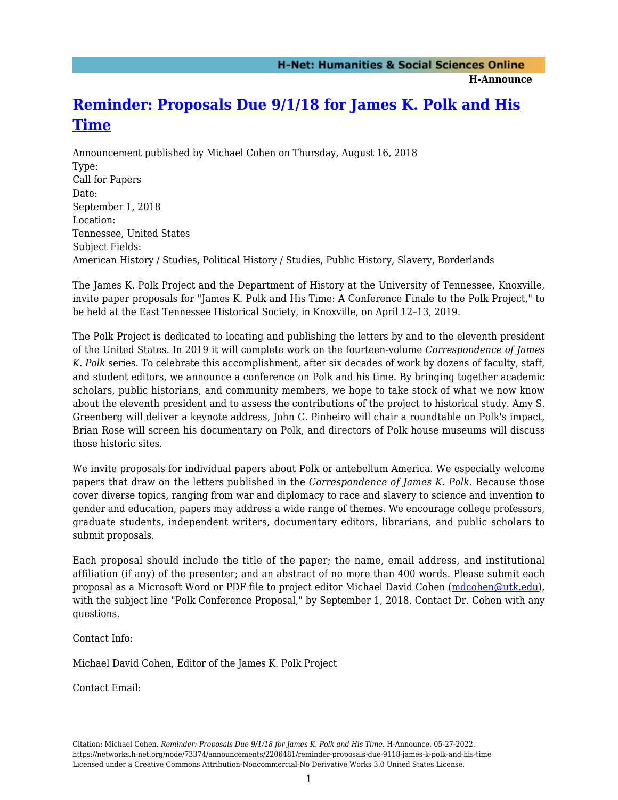**H-Announce** 

## **[Reminder: Proposals Due 9/1/18 for James K. Polk and His](https://networks.h-net.org/node/73374/announcements/2206481/reminder-proposals-due-9118-james-k-polk-and-his-time) [Time](https://networks.h-net.org/node/73374/announcements/2206481/reminder-proposals-due-9118-james-k-polk-and-his-time)**

Announcement published by Michael Cohen on Thursday, August 16, 2018 Type: Call for Papers Date: September 1, 2018 Location: Tennessee, United States Subject Fields: American History / Studies, Political History / Studies, Public History, Slavery, Borderlands

The James K. Polk Project and the Department of History at the University of Tennessee, Knoxville, invite paper proposals for "James K. Polk and His Time: A Conference Finale to the Polk Project," to be held at the East Tennessee Historical Society, in Knoxville, on April 12–13, 2019.

The Polk Project is dedicated to locating and publishing the letters by and to the eleventh president of the United States. In 2019 it will complete work on the fourteen-volume *Correspondence of James K. Polk* series. To celebrate this accomplishment, after six decades of work by dozens of faculty, staff, and student editors, we announce a conference on Polk and his time. By bringing together academic scholars, public historians, and community members, we hope to take stock of what we now know about the eleventh president and to assess the contributions of the project to historical study. Amy S. Greenberg will deliver a keynote address, John C. Pinheiro will chair a roundtable on Polk's impact, Brian Rose will screen his documentary on Polk, and directors of Polk house museums will discuss those historic sites.

We invite proposals for individual papers about Polk or antebellum America. We especially welcome papers that draw on the letters published in the *Correspondence of James K. Polk*. Because those cover diverse topics, ranging from war and diplomacy to race and slavery to science and invention to gender and education, papers may address a wide range of themes. We encourage college professors, graduate students, independent writers, documentary editors, librarians, and public scholars to submit proposals.

Each proposal should include the title of the paper; the name, email address, and institutional affiliation (if any) of the presenter; and an abstract of no more than 400 words. Please submit each proposal as a Microsoft Word or PDF file to project editor Michael David Cohen ([mdcohen@utk.edu\)](mailto:mdcohen@utk.edu), with the subject line "Polk Conference Proposal," by September 1, 2018. Contact Dr. Cohen with any questions.

Contact Info:

Michael David Cohen, Editor of the James K. Polk Project

Contact Email: